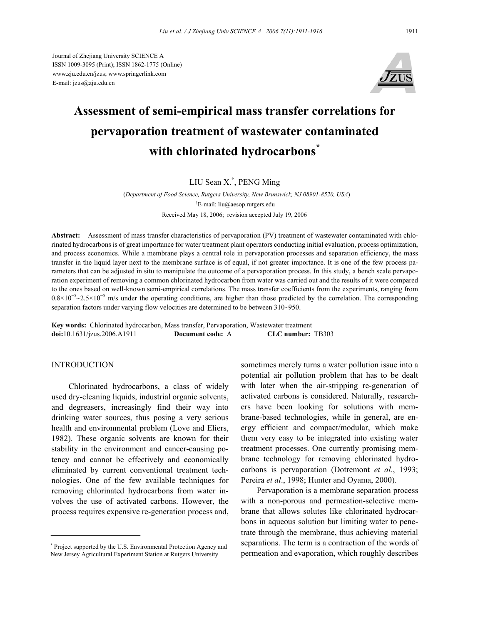Journal of Zhejiang University SCIENCE A ISSN 1009-3095 (Print); ISSN 1862-1775 (Online) www.zju.edu.cn/jzus; www.springerlink.com E-mail: jzus@zju.edu.cn



# **Assessment of semi-empirical mass transfer correlations for pervaporation treatment of wastewater contaminated with chlorinated hydrocarbons\***

## LIU Sean X.† , PENG Ming

(*Department of Food Science, Rutgers University, New Brunswick, NJ 08901-8520, USA*) † E-mail: liu@aesop.rutgers.edu Received May 18, 2006; revision accepted July 19, 2006

**Abstract:** Assessment of mass transfer characteristics of pervaporation (PV) treatment of wastewater contaminated with chlorinated hydrocarbons is of great importance for water treatment plant operators conducting initial evaluation, process optimization, and process economics. While a membrane plays a central role in pervaporation processes and separation efficiency, the mass transfer in the liquid layer next to the membrane surface is of equal, if not greater importance. It is one of the few process parameters that can be adjusted in situ to manipulate the outcome of a pervaporation process. In this study, a bench scale pervaporation experiment of removing a common chlorinated hydrocarbon from water was carried out and the results of it were compared to the ones based on well-known semi-empirical correlations. The mass transfer coefficients from the experiments, ranging from  $0.8\times10^{-5}\sim2.5\times10^{-5}$  m/s under the operating conditions, are higher than those predicted by the correlation. The corresponding separation factors under varying flow velocities are determined to be between 310~950.

**Key words:** Chlorinated hydrocarbon, Mass transfer, Pervaporation, Wastewater treatment **doi:**10.1631/jzus.2006.A1911 **Document code:** A **CLC number:** TB303

### **INTRODUCTION**

Chlorinated hydrocarbons, a class of widely used dry-cleaning liquids, industrial organic solvents, and degreasers, increasingly find their way into drinking water sources, thus posing a very serious health and environmental problem (Love and Eliers, 1982). These organic solvents are known for their stability in the environment and cancer-causing potency and cannot be effectively and economically eliminated by current conventional treatment technologies. One of the few available techniques for removing chlorinated hydrocarbons from water involves the use of activated carbons. However, the process requires expensive re-generation process and,

\* Project supported by the U.S. Environmental Protection Agency and New Jersey Agricultural Experiment Station at Rutgers University

sometimes merely turns a water pollution issue into a potential air pollution problem that has to be dealt with later when the air-stripping re-generation of activated carbons is considered. Naturally, researchers have been looking for solutions with membrane-based technologies, while in general, are energy efficient and compact/modular, which make them very easy to be integrated into existing water treatment processes. One currently promising membrane technology for removing chlorinated hydrocarbons is pervaporation (Dotremont *et al*., 1993; Pereira *et al*., 1998; Hunter and Oyama, 2000).

Pervaporation is a membrane separation process with a non-porous and permeation-selective membrane that allows solutes like chlorinated hydrocarbons in aqueous solution but limiting water to penetrate through the membrane, thus achieving material separations. The term is a contraction of the words of permeation and evaporation, which roughly describes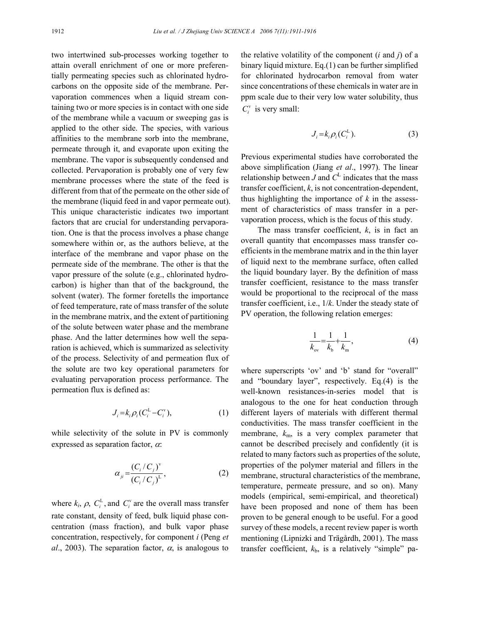two intertwined sub-processes working together to attain overall enrichment of one or more preferentially permeating species such as chlorinated hydrocarbons on the opposite side of the membrane. Pervaporation commences when a liquid stream containing two or more species is in contact with one side of the membrane while a vacuum or sweeping gas is applied to the other side. The species, with various affinities to the membrane sorb into the membrane, permeate through it, and evaporate upon exiting the membrane. The vapor is subsequently condensed and collected. Pervaporation is probably one of very few membrane processes where the state of the feed is different from that of the permeate on the other side of the membrane (liquid feed in and vapor permeate out). This unique characteristic indicates two important factors that are crucial for understanding pervaporation. One is that the process involves a phase change somewhere within or, as the authors believe, at the interface of the membrane and vapor phase on the permeate side of the membrane. The other is that the vapor pressure of the solute (e.g., chlorinated hydrocarbon) is higher than that of the background, the solvent (water). The former foretells the importance of feed temperature, rate of mass transfer of the solute in the membrane matrix, and the extent of partitioning of the solute between water phase and the membrane phase. And the latter determines how well the separation is achieved, which is summarized as selectivity of the process. Selectivity of and permeation flux of the solute are two key operational parameters for evaluating pervaporation process performance. The permeation flux is defined as:

$$
J_i = k_i \rho_i (C_i^{\mathcal{L}} - C_i^{\mathcal{V}}), \tag{1}
$$

while selectivity of the solute in PV is commonly expressed as separation factor,  $\alpha$ .

$$
\alpha_{ji} = \frac{(C_i/C_j)^{v}}{(C_i/C_j)^{L}},
$$
\n(2)

where  $k_i$ ,  $\rho$ ,  $C_i^L$ , and  $C_i^V$  are the overall mass transfer rate constant, density of feed, bulk liquid phase concentration (mass fraction), and bulk vapor phase concentration, respectively, for component *i* (Peng *et al.*, 2003). The separation factor,  $\alpha$ , is analogous to

the relative volatility of the component (*i* and *j*) of a binary liquid mixture. Eq.(1) can be further simplified for chlorinated hydrocarbon removal from water since concentrations of these chemicals in water are in ppm scale due to their very low water solubility, thus  $C_i^v$  is very small:

$$
J_i = k_i \rho_i (C_i^{\mathcal{L}}). \tag{3}
$$

Previous experimental studies have corroborated the above simplification (Jiang *et al*., 1997). The linear relationship between  $J$  and  $C^L$  indicates that the mass transfer coefficient, *k*, is not concentration-dependent, thus highlighting the importance of  $k$  in the assessment of characteristics of mass transfer in a pervaporation process, which is the focus of this study.

The mass transfer coefficient, *k*, is in fact an overall quantity that encompasses mass transfer coefficients in the membrane matrix and in the thin layer of liquid next to the membrane surface, often called the liquid boundary layer. By the definition of mass transfer coefficient, resistance to the mass transfer would be proportional to the reciprocal of the mass transfer coefficient, i.e., 1/*k*. Under the steady state of PV operation, the following relation emerges:

$$
\frac{1}{k_{ov}} = \frac{1}{k_b} + \frac{1}{k_m},
$$
\n(4)

where superscripts 'ov' and 'b' stand for "overall" and "boundary layer", respectively. Eq.(4) is the well-known resistances-in-series model that is analogous to the one for heat conduction through different layers of materials with different thermal conductivities. The mass transfer coefficient in the membrane, *k*m, is a very complex parameter that cannot be described precisely and confidently (it is related to many factors such as properties of the solute, properties of the polymer material and fillers in the membrane, structural characteristics of the membrane, temperature, permeate pressure, and so on). Many models (empirical, semi-empirical, and theoretical) have been proposed and none of them has been proven to be general enough to be useful. For a good survey of these models, a recent review paper is worth mentioning (Lipnizki and Trägårdh, 2001). The mass transfer coefficient,  $k<sub>b</sub>$ , is a relatively "simple" pa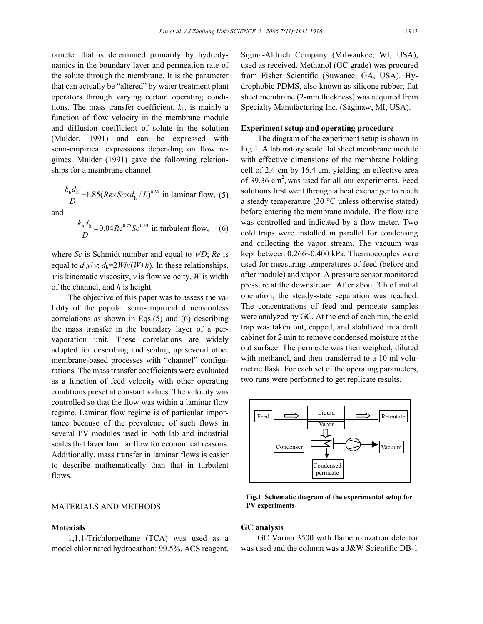rameter that is determined primarily by hydrodynamics in the boundary layer and permeation rate of the solute through the membrane. It is the parameter that can actually be "altered" by water treatment plant operators through varying certain operating conditions. The mass transfer coefficient,  $k<sub>b</sub>$ , is mainly a function of flow velocity in the membrane module and diffusion coefficient of solute in the solution (Mulder, 1991) and can be expressed with semi-empirical expressions depending on flow regimes. Mulder (1991) gave the following relationships for a membrane channel:

$$
\frac{k_{\rm b}d_{\rm h}}{D} = 1.85(Re \times Sc \times d_{\rm h}/L)^{0.33}
$$
 in laminar flow, (5)

and

$$
\frac{k_{\rm b}d_{\rm h}}{D} = 0.04Re^{0.75}Sc^{0.33}
$$
 in turbulent flow, (6)

where *Sc* is Schmidt number and equal to ν/*D*; *Re* is equal to  $d_h v/v$ ,  $d_h = 2Wh/(W+h)$ . In these relationships, *v* is kinematic viscosity, *v* is flow velocity, *W* is width of the channel, and *h* is height.

The objective of this paper was to assess the validity of the popular semi-empirical dimensionless correlations as shown in Eqs.(5) and (6) describing the mass transfer in the boundary layer of a pervaporation unit. These correlations are widely adopted for describing and scaling up several other membrane-based processes with "channel" configurations. The mass transfer coefficients were evaluated as a function of feed velocity with other operating conditions preset at constant values. The velocity was controlled so that the flow was within a laminar flow regime. Laminar flow regime is of particular importance because of the prevalence of such flows in several PV modules used in both lab and industrial scales that favor laminar flow for economical reasons. Additionally, mass transfer in laminar flows is easier to describe mathematically than that in turbulent flows.

## MATERIALS AND METHODS

#### **Materials**

1,1,1-Trichloroethane (TCA) was used as a model chlorinated hydrocarbon: 99.5%, ACS reagent,

Sigma-Aldrich Company (Milwaukee, WI, USA), used as received. Methanol (GC grade) was procured from Fisher Scientific (Suwanee, GA, USA). Hydrophobic PDMS, also known as silicone rubber, flat sheet membrane (2-mm thickness) was acquired from Specialty Manufacturing Inc. (Saginaw, MI, USA).

#### **Experiment setup and operating procedure**

The diagram of the experiment setup is shown in Fig.1. A laboratory scale flat sheet membrane module with effective dimensions of the membrane holding cell of 2.4 cm by 16.4 cm, yielding an effective area of 39.36  $\text{cm}^2$ , was used for all our experiments. Feed solutions first went through a heat exchanger to reach a steady temperature (30 °C unless otherwise stated) before entering the membrane module. The flow rate was controlled and indicated by a flow meter. Two cold traps were installed in parallel for condensing and collecting the vapor stream. The vacuum was kept between 0.266~0.400 kPa. Thermocouples were used for measuring temperatures of feed (before and after module) and vapor. A pressure sensor monitored pressure at the downstream. After about 3 h of initial operation, the steady-state separation was reached. The concentrations of feed and permeate samples were analyzed by GC. At the end of each run, the cold trap was taken out, capped, and stabilized in a draft cabinet for 2 min to remove condensed moisture at the out surface. The permeate was then weighed, diluted with methanol, and then transferred to a 10 ml volumetric flask. For each set of the operating parameters, two runs were performed to get replicate results.



**Fig.1 Schematic diagram of the experimental setup for PV experiments** 

#### **GC analysis**

GC Varian 3500 with flame ionization detector was used and the column was a J&W Scientific DB-1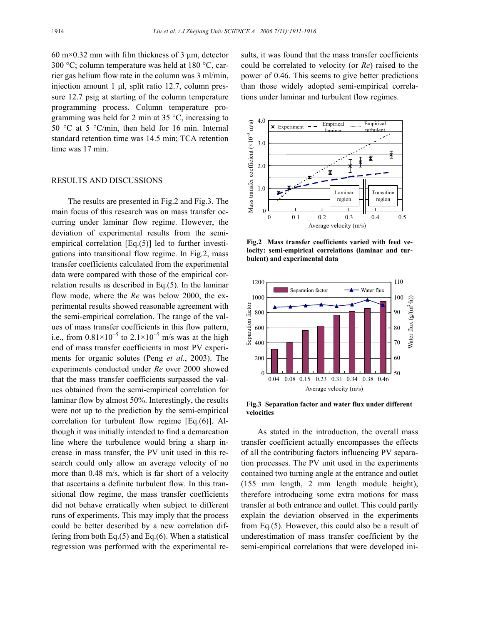60 m $\times$ 0.32 mm with film thickness of 3 µm, detector 300 °C; column temperature was held at 180 °C, carrier gas helium flow rate in the column was 3 ml/min, injection amount 1 µl, split ratio 12.7, column pressure 12.7 psig at starting of the column temperature programming process. Column temperature programming was held for 2 min at 35  $\degree$ C, increasing to 50 °C at 5 °C/min, then held for 16 min. Internal standard retention time was 14.5 min; TCA retention time was 17 min.

#### RESULTS AND DISCUSSIONS

The results are presented in Fig.2 and Fig.3. The main focus of this research was on mass transfer occurring under laminar flow regime. However, the deviation of experimental results from the semiempirical correlation [Eq.(5)] led to further investigations into transitional flow regime. In Fig.2, mass transfer coefficients calculated from the experimental data were compared with those of the empirical correlation results as described in Eq.(5). In the laminar flow mode, where the *Re* was below 2000, the experimental results showed reasonable agreement with the semi-empirical correlation. The range of the values of mass transfer coefficients in this flow pattern, i.e., from  $0.81 \times 10^{-5}$  to  $2.1 \times 10^{-5}$  m/s was at the high end of mass transfer coefficients in most PV experiments for organic solutes (Peng *et al*., 2003). The experiments conducted under *Re* over 2000 showed that the mass transfer coefficients surpassed the values obtained from the semi-empirical correlation for laminar flow by almost 50%. Interestingly, the results were not up to the prediction by the semi-empirical correlation for turbulent flow regime [Eq.(6)]. Although it was initially intended to find a demarcation line where the turbulence would bring a sharp increase in mass transfer, the PV unit used in this research could only allow an average velocity of no more than 0.48 m/s, which is far short of a velocity that ascertains a definite turbulent flow. In this transitional flow regime, the mass transfer coefficients did not behave erratically when subject to different runs of experiments. This may imply that the process could be better described by a new correlation differing from both Eq. $(5)$  and Eq. $(6)$ . When a statistical regression was performed with the experimental results, it was found that the mass transfer coefficients could be correlated to velocity (or *Re*) raised to the power of 0.46. This seems to give better predictions than those widely adopted semi-empirical correlations under laminar and turbulent flow regimes.



**Fig.2 Mass transfer coefficients varied with feed velocity: semi-empirical correlations (laminar and turbulent) and experimental data** 



**Fig.3 Separation factor and water flux under different velocities** 

As stated in the introduction, the overall mass transfer coefficient actually encompasses the effects of all the contributing factors influencing PV separation processes. The PV unit used in the experiments contained two turning angle at the entrance and outlet (155 mm length, 2 mm length module height), therefore introducing some extra motions for mass transfer at both entrance and outlet. This could partly explain the deviation observed in the experiments from Eq.(5). However, this could also be a result of underestimation of mass transfer coefficient by the semi-empirical correlations that were developed ini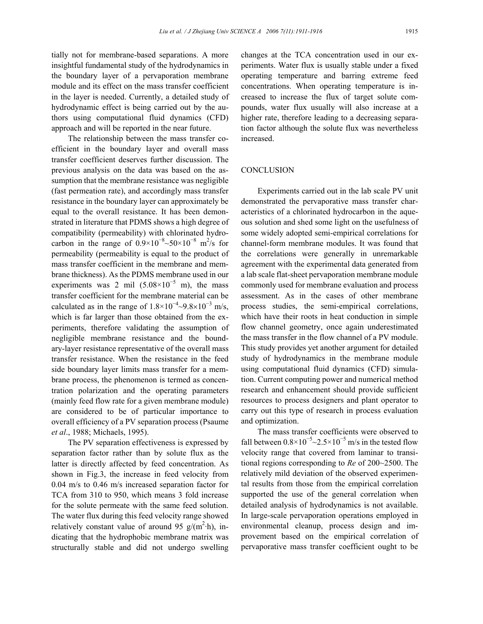tially not for membrane-based separations. A more insightful fundamental study of the hydrodynamics in the boundary layer of a pervaporation membrane module and its effect on the mass transfer coefficient in the layer is needed. Currently, a detailed study of hydrodynamic effect is being carried out by the authors using computational fluid dynamics (CFD) approach and will be reported in the near future.

The relationship between the mass transfer coefficient in the boundary layer and overall mass transfer coefficient deserves further discussion. The previous analysis on the data was based on the assumption that the membrane resistance was negligible (fast permeation rate), and accordingly mass transfer resistance in the boundary layer can approximately be equal to the overall resistance. It has been demonstrated in literature that PDMS shows a high degree of compatibility (permeability) with chlorinated hydrocarbon in the range of  $0.9 \times 10^{-8}$ ~50×10<sup>-8</sup> m<sup>2</sup>/s for permeability (permeability is equal to the product of mass transfer coefficient in the membrane and membrane thickness). As the PDMS membrane used in our experiments was 2 mil  $(5.08 \times 10^{-5} \text{ m})$ , the mass transfer coefficient for the membrane material can be calculated as in the range of  $1.8 \times 10^{-4} \sim 9.8 \times 10^{-3}$  m/s, which is far larger than those obtained from the experiments, therefore validating the assumption of negligible membrane resistance and the boundary-layer resistance representative of the overall mass transfer resistance. When the resistance in the feed side boundary layer limits mass transfer for a membrane process, the phenomenon is termed as concentration polarization and the operating parameters (mainly feed flow rate for a given membrane module) are considered to be of particular importance to overall efficiency of a PV separation process (Psaume *et al*., 1988; Michaels, 1995).

The PV separation effectiveness is expressed by separation factor rather than by solute flux as the latter is directly affected by feed concentration. As shown in Fig.3, the increase in feed velocity from 0.04 m/s to 0.46 m/s increased separation factor for TCA from 310 to 950, which means 3 fold increase for the solute permeate with the same feed solution. The water flux during this feed velocity range showed relatively constant value of around 95  $g/(m^2 \cdot h)$ , indicating that the hydrophobic membrane matrix was structurally stable and did not undergo swelling changes at the TCA concentration used in our experiments. Water flux is usually stable under a fixed operating temperature and barring extreme feed concentrations. When operating temperature is increased to increase the flux of target solute compounds, water flux usually will also increase at a higher rate, therefore leading to a decreasing separation factor although the solute flux was nevertheless increased.

## **CONCLUSION**

Experiments carried out in the lab scale PV unit demonstrated the pervaporative mass transfer characteristics of a chlorinated hydrocarbon in the aqueous solution and shed some light on the usefulness of some widely adopted semi-empirical correlations for channel-form membrane modules. It was found that the correlations were generally in unremarkable agreement with the experimental data generated from a lab scale flat-sheet pervaporation membrane module commonly used for membrane evaluation and process assessment. As in the cases of other membrane process studies, the semi-empirical correlations, which have their roots in heat conduction in simple flow channel geometry, once again underestimated the mass transfer in the flow channel of a PV module. This study provides yet another argument for detailed study of hydrodynamics in the membrane module using computational fluid dynamics (CFD) simulation. Current computing power and numerical method research and enhancement should provide sufficient resources to process designers and plant operator to carry out this type of research in process evaluation and optimization.

The mass transfer coefficients were observed to fall between  $0.8 \times 10^{-5}$  ~ 2.5 × 10<sup>-5</sup> m/s in the tested flow velocity range that covered from laminar to transitional regions corresponding to *Re* of 200~2500. The relatively mild deviation of the observed experimental results from those from the empirical correlation supported the use of the general correlation when detailed analysis of hydrodynamics is not available. In large-scale pervaporation operations employed in environmental cleanup, process design and improvement based on the empirical correlation of pervaporative mass transfer coefficient ought to be